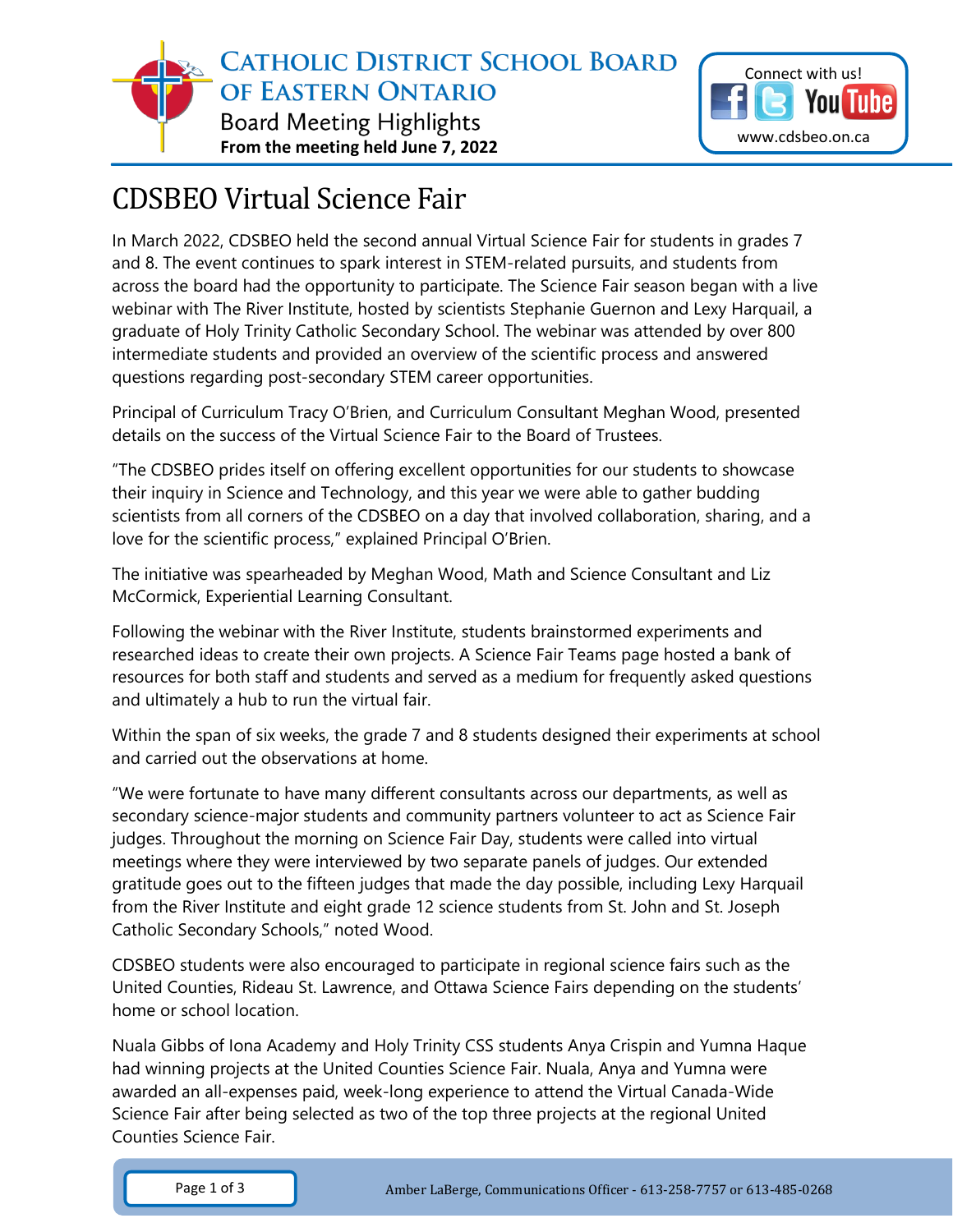



## CDSBEO Virtual Science Fair

In March 2022, CDSBEO held the second annual Virtual Science Fair for students in grades 7 and 8. The event continues to spark interest in STEM-related pursuits, and students from across the board had the opportunity to participate. The Science Fair season began with a live webinar with The River Institute, hosted by scientists Stephanie Guernon and Lexy Harquail, a graduate of Holy Trinity Catholic Secondary School. The webinar was attended by over 800 intermediate students and provided an overview of the scientific process and answered questions regarding post-secondary STEM career opportunities.

Principal of Curriculum Tracy O'Brien, and Curriculum Consultant Meghan Wood, presented details on the success of the Virtual Science Fair to the Board of Trustees.

"The CDSBEO prides itself on offering excellent opportunities for our students to showcase their inquiry in Science and Technology, and this year we were able to gather budding scientists from all corners of the CDSBEO on a day that involved collaboration, sharing, and a love for the scientific process," explained Principal O'Brien.

The initiative was spearheaded by Meghan Wood, Math and Science Consultant and Liz McCormick, Experiential Learning Consultant.

Following the webinar with the River Institute, students brainstormed experiments and researched ideas to create their own projects. A Science Fair Teams page hosted a bank of resources for both staff and students and served as a medium for frequently asked questions and ultimately a hub to run the virtual fair.

Within the span of six weeks, the grade 7 and 8 students designed their experiments at school and carried out the observations at home.

"We were fortunate to have many different consultants across our departments, as well as secondary science-major students and community partners volunteer to act as Science Fair judges. Throughout the morning on Science Fair Day, students were called into virtual meetings where they were interviewed by two separate panels of judges. Our extended gratitude goes out to the fifteen judges that made the day possible, including Lexy Harquail from the River Institute and eight grade 12 science students from St. John and St. Joseph Catholic Secondary Schools," noted Wood.

CDSBEO students were also encouraged to participate in regional science fairs such as the United Counties, Rideau St. Lawrence, and Ottawa Science Fairs depending on the students' home or school location.

Nuala Gibbs of Iona Academy and Holy Trinity CSS students Anya Crispin and Yumna Haque had winning projects at the United Counties Science Fair. Nuala, Anya and Yumna were awarded an all-expenses paid, week-long experience to attend the Virtual Canada-Wide Science Fair after being selected as two of the top three projects at the regional United Counties Science Fair.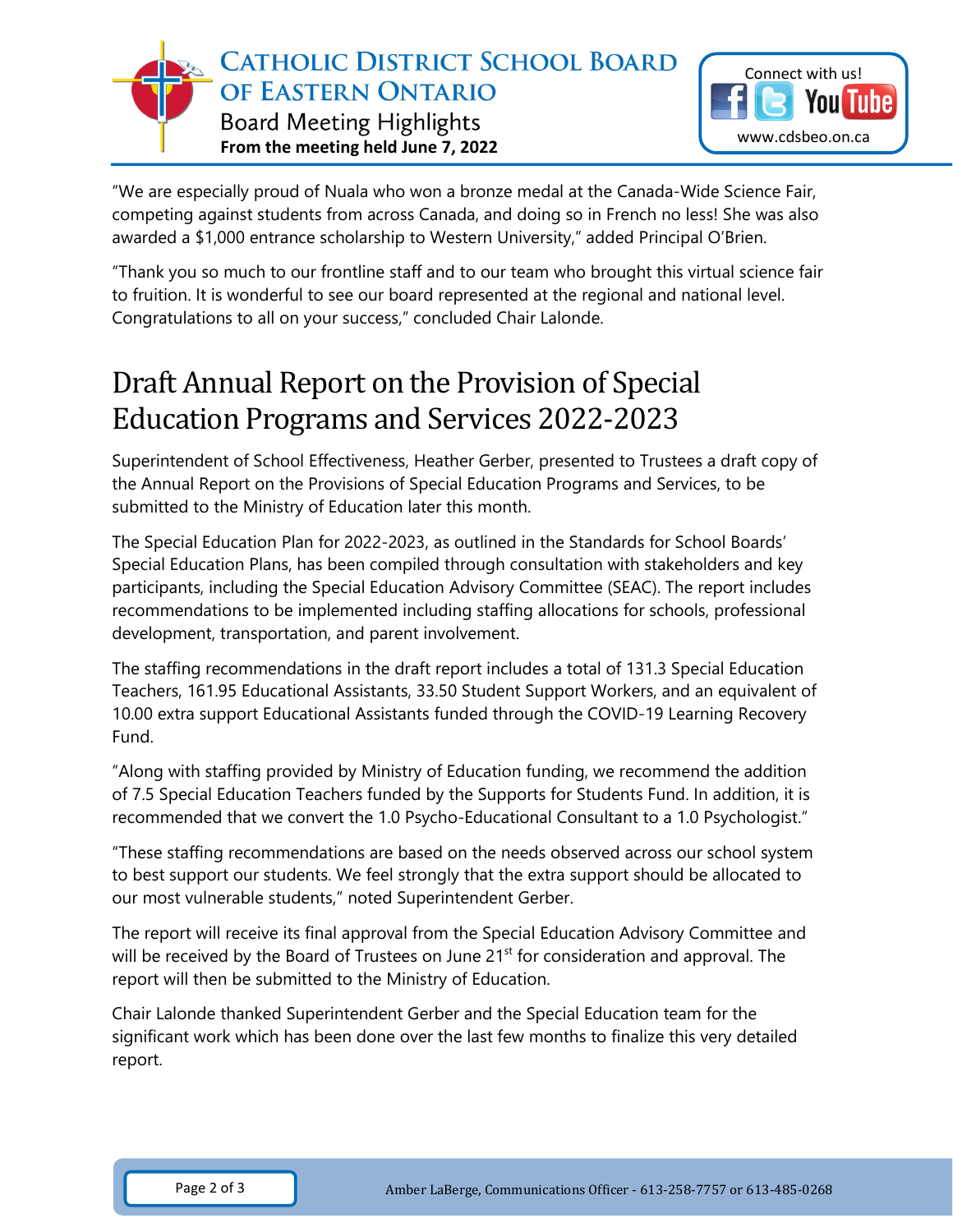

"We are especially proud of Nuala who won a bronze medal at the Canada-Wide Science Fair, competing against students from across Canada, and doing so in French no less! She was also awarded a \$1,000 entrance scholarship to Western University," added Principal O'Brien.

"Thank you so much to our frontline staff and to our team who brought this virtual science fair to fruition. It is wonderful to see our board represented at the regional and national level. Congratulations to all on your success," concluded Chair Lalonde.

## Draft Annual Report on the Provision of Special Education Programs and Services 2022-2023

Superintendent of School Effectiveness, Heather Gerber, presented to Trustees a draft copy of the Annual Report on the Provisions of Special Education Programs and Services, to be submitted to the Ministry of Education later this month.

The Special Education Plan for 2022-2023, as outlined in the Standards for School Boards' Special Education Plans, has been compiled through consultation with stakeholders and key participants, including the Special Education Advisory Committee (SEAC). The report includes recommendations to be implemented including staffing allocations for schools, professional development, transportation, and parent involvement.

The staffing recommendations in the draft report includes a total of 131.3 Special Education Teachers, 161.95 Educational Assistants, 33.50 Student Support Workers, and an equivalent of 10.00 extra support Educational Assistants funded through the COVID-19 Learning Recovery Fund.

"Along with staffing provided by Ministry of Education funding, we recommend the addition of 7.5 Special Education Teachers funded by the Supports for Students Fund. In addition, it is recommended that we convert the 1.0 Psycho-Educational Consultant to a 1.0 Psychologist."

"These staffing recommendations are based on the needs observed across our school system to best support our students. We feel strongly that the extra support should be allocated to our most vulnerable students," noted Superintendent Gerber.

The report will receive its final approval from the Special Education Advisory Committee and will be received by the Board of Trustees on June 21<sup>st</sup> for consideration and approval. The report will then be submitted to the Ministry of Education.

Chair Lalonde thanked Superintendent Gerber and the Special Education team for the significant work which has been done over the last few months to finalize this very detailed report.